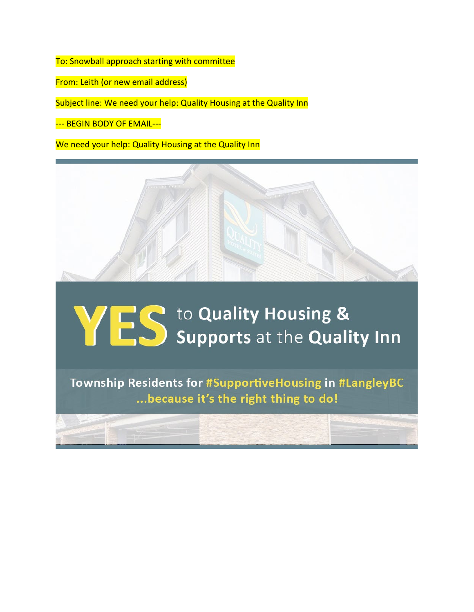To: Snowball approach starting with committee

From: Leith (or new email address)

Subject line: We need your help: Quality Housing at the Quality Inn

--- BEGIN BODY OF EMAIL---

We need your help: Quality Housing at the Quality Inn



## **WES** to Quality Housing &

Township Residents for #SupportiveHousing in #LangleyBC ... because it's the right thing to do!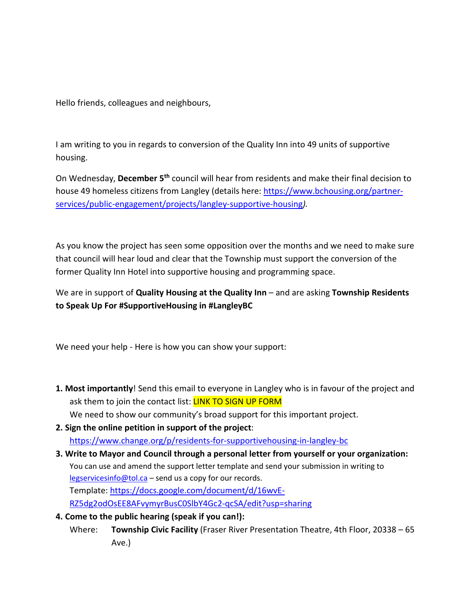Hello friends, colleagues and neighbours,

I am writing to you in regards to conversion of the Quality Inn into 49 units of supportive housing.

On Wednesday, **December 5th** council will hear from residents and make their final decision to house 49 homeless citizens from Langley (details here: [https://www.bchousing.org/partner](https://www.bchousing.org/partner-services/public-engagement/projects/langley-supportive-housing)[services/public-engagement/projects/langley-supportive-housing](https://www.bchousing.org/partner-services/public-engagement/projects/langley-supportive-housing)*).*

As you know the project has seen some opposition over the months and we need to make sure that council will hear loud and clear that the Township must support the conversion of the former Quality Inn Hotel into supportive housing and programming space.

We are in support of **Quality Housing at the Quality Inn** – and are asking **Township Residents to Speak Up For #SupportiveHousing in #LangleyBC**

We need your help - Here is how you can show your support:

- **1. Most importantly**! Send this email to everyone in Langley who is in favour of the project and ask them to join the contact list: **LINK TO SIGN UP FORM** We need to show our community's broad support for this important project.
- **2. Sign the online petition in support of the project**: <https://www.change.org/p/residents-for-supportivehousing-in-langley-bc>
- **3. Write to Mayor and Council through a personal letter from yourself or your organization:** You can use and amend the support letter template and send your submission in writing to [legservicesinfo@tol.ca](mailto:legservicesinfo@tol.ca) - send us a copy for our records. Template: [https://docs.google.com/document/d/16wvE-](https://docs.google.com/document/d/16wvE-RZ5dg2odOsEE8AFvymyrBusC0SlbY4Gc2-qcSA/edit?usp=sharing)[RZ5dg2odOsEE8AFvymyrBusC0SlbY4Gc2-qcSA/edit?usp=sharing](https://docs.google.com/document/d/16wvE-RZ5dg2odOsEE8AFvymyrBusC0SlbY4Gc2-qcSA/edit?usp=sharing)
- **4. Come to the public hearing (speak if you can!):**
	- Where: **Township Civic Facility** (Fraser River Presentation Theatre, 4th Floor, 20338 65 Ave.)